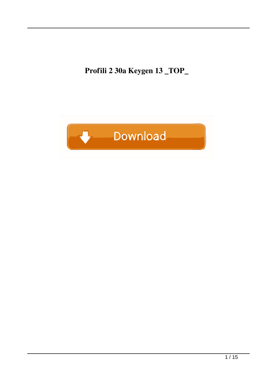**Profili 2 30a Keygen 13 \_TOP\_**

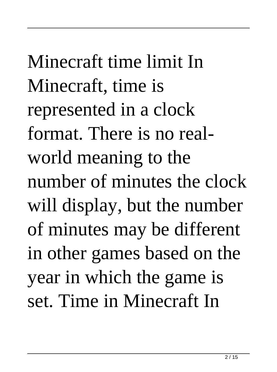Minecraft time limit In Minecraft, time is represented in a clock format. There is no realworld meaning to the number of minutes the clock will display, but the number of minutes may be different in other games based on the year in which the game is set. Time in Minecraft In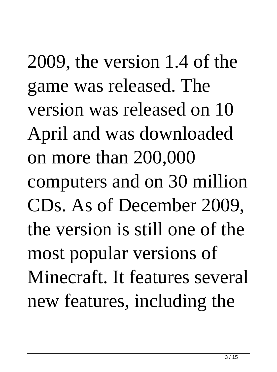## 2009, the version 1.4 of the game was released. The version was released on 10 April and was downloaded on more than 200,000 computers and on 30 million CDs. As of December 2009, the version is still one of the most popular versions of Minecraft. It features several new features, including the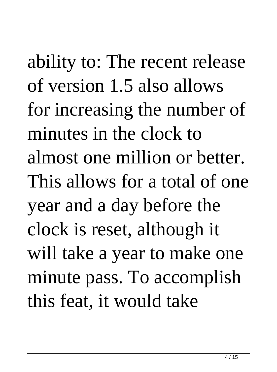ability to: The recent release of version 1.5 also allows for increasing the number of minutes in the clock to almost one million or better. This allows for a total of one year and a day before the clock is reset, although it will take a year to make one minute pass. To accomplish this feat, it would take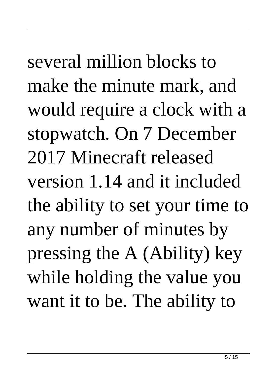several million blocks to make the minute mark, and would require a clock with a stopwatch. On 7 December 2017 Minecraft released version 1.14 and it included the ability to set your time to any number of minutes by pressing the A (Ability) key while holding the value you want it to be. The ability to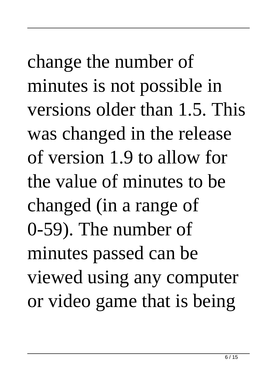change the number of minutes is not possible in versions older than 1.5. This was changed in the release of version 1.9 to allow for the value of minutes to be changed (in a range of 0-59). The number of minutes passed can be viewed using any computer or video game that is being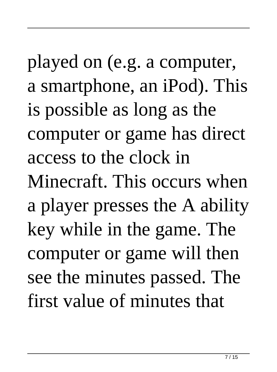played on (e.g. a computer, a smartphone, an iPod). This is possible as long as the computer or game has direct access to the clock in Minecraft. This occurs when a player presses the A ability key while in the game. The computer or game will then see the minutes passed. The first value of minutes that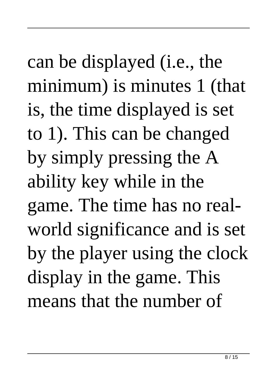can be displayed (i.e., the minimum) is minutes 1 (that is, the time displayed is set to 1). This can be changed by simply pressing the A ability key while in the game. The time has no realworld significance and is set by the player using the clock display in the game. This means that the number of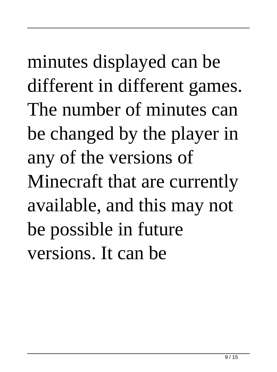minutes displayed can be different in different games. The number of minutes can be changed by the player in any of the versions of Minecraft that are currently available, and this may not be possible in future versions. It can be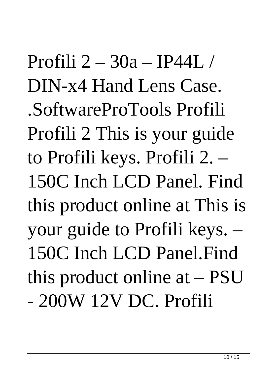Profili 2 – 30a – IP44L / DIN-x4 Hand Lens Case. .SoftwareProTools Profili Profili 2 This is your guide to Profili keys. Profili 2. – 150C Inch LCD Panel. Find this product online at This is your guide to Profili keys. – 150C Inch LCD Panel.Find this product online at – PSU - 200W 12V DC. Profili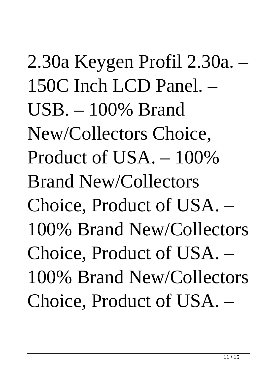2.30a Keygen Profil 2.30a. – 150C Inch LCD Panel. –  $USB = 100\%$  Brand New/Collectors Choice, Product of USA. – 100% Brand New/Collectors Choice, Product of USA. – 100% Brand New/Collectors Choice, Product of USA. – 100% Brand New/Collectors Choice, Product of USA. –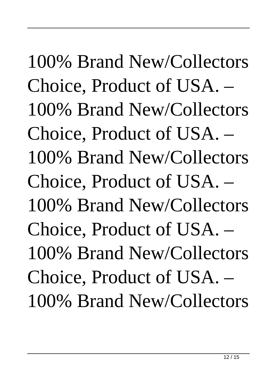## 100% Brand New/Collectors Choice, Product of USA. – 100% Brand New/Collectors Choice, Product of USA. –

100% Brand New/Collectors Choice, Product of USA. – 100% Brand New/Collectors Choice, Product of USA. – 100% Brand New/Collectors Choice, Product of USA. – 100% Brand New/Collectors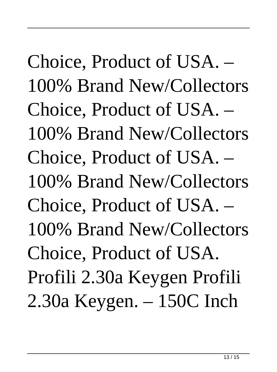Choice, Product of USA. – 100% Brand New/Collectors Choice, Product of USA. – 100% Brand New/Collectors Choice, Product of USA. – 100% Brand New/Collectors Choice, Product of USA. – 100% Brand New/Collectors Choice, Product of USA. Profili 2.30a Keygen Profili 2.30a Keygen. – 150C Inch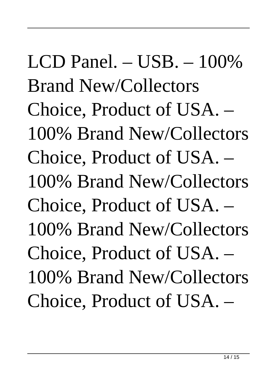## LCD Panel.  $-$  USB.  $-$  100% Brand New/Collectors Choice, Product of USA. – 100% Brand New/Collectors Choice, Product of USA. – 100% Brand New/Collectors Choice, Product of USA. – 100% Brand New/Collectors Choice, Product of USA. – 100% Brand New/Collectors Choice, Product of USA. –